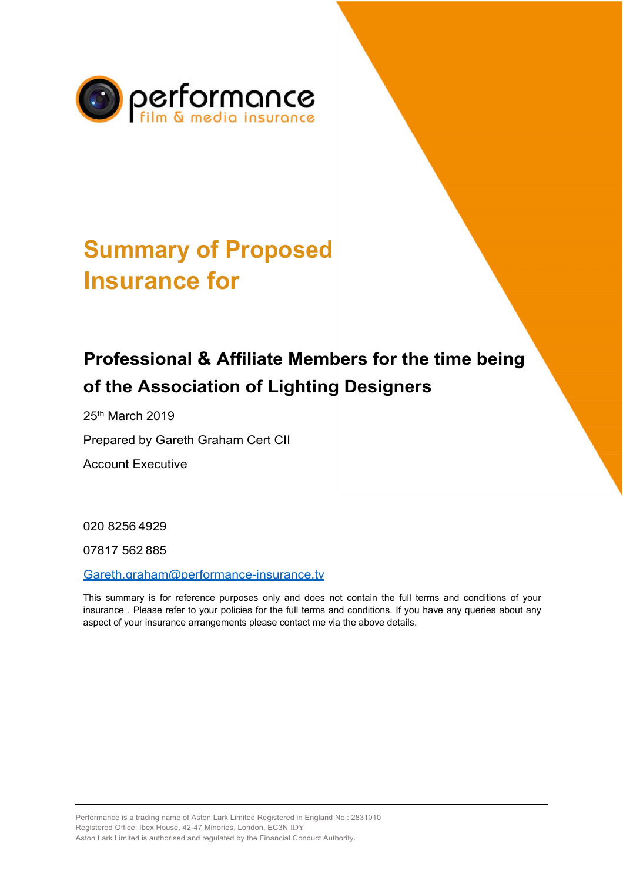

## **Summary of Proposed Insurance for**

## **Professional & Affiliate Members for the time being of the Association of Lighting Designers**

25th March 2019

Prepared by Gareth Graham Cert CII

Account Executive

020 8256 4929

07817 562 885

[Gareth.graham@performance-insurance.tv](mailto:Gareth.graham@performance-insurance.tv)

This summary is for reference purposes only and does not contain the full terms and conditions of your insurance . Please refer to your policies for the full terms and conditions. If you have any queries about any aspect of your insurance arrangements please contact me via the above details.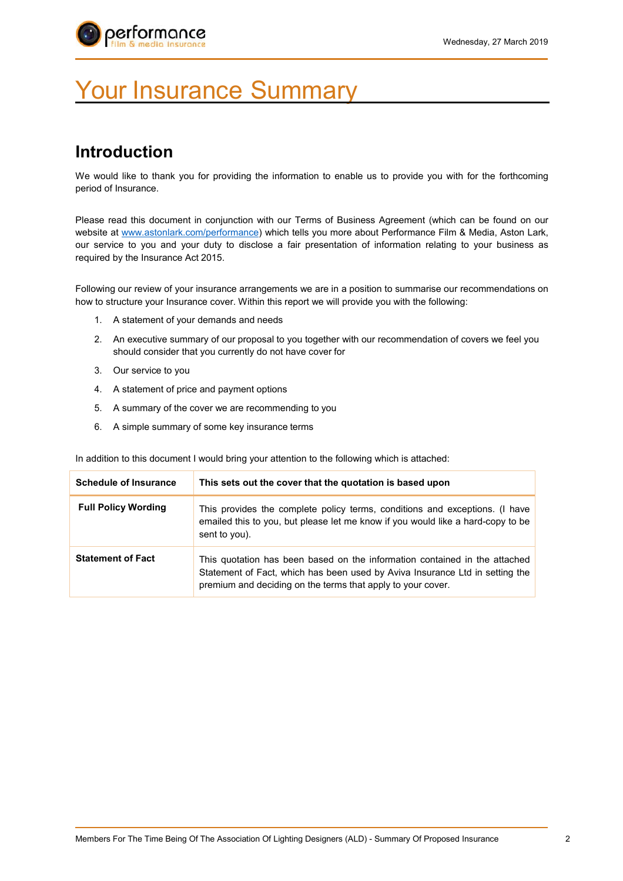

# Your Insurance Summary

### **Introduction**

We would like to thank you for providing the information to enable us to provide you with for the forthcoming period of Insurance.

Please read this document in conjunction with our Terms of Business Agreement (which can be found on our website at [www.astonlark.com/performance\) w](http://www.astonlark.com/performance))hich tells you more about Performance Film & Media, Aston Lark, our service to you and your duty to disclose a fair presentation of information relating to your business as required by the Insurance Act 2015.

Following our review of your insurance arrangements we are in a position to summarise our recommendations on how to structure your Insurance cover. Within this report we will provide you with the following:

- 1. A statement of your demands and needs
- 2. An executive summary of our proposal to you together with our recommendation of covers we feel you should consider that you currently do not have cover for
- 3. Our service to you
- 4. A statement of price and payment options
- 5. A summary of the cover we are recommending to you
- 6. A simple summary of some key insurance terms

In addition to this document I would bring your attention to the following which is attached:

| <b>Schedule of Insurance</b> | This sets out the cover that the quotation is based upon                                                                                                                                                                  |
|------------------------------|---------------------------------------------------------------------------------------------------------------------------------------------------------------------------------------------------------------------------|
| <b>Full Policy Wording</b>   | This provides the complete policy terms, conditions and exceptions. (I have<br>emailed this to you, but please let me know if you would like a hard-copy to be<br>sent to you).                                           |
| <b>Statement of Fact</b>     | This quotation has been based on the information contained in the attached<br>Statement of Fact, which has been used by Aviva Insurance Ltd in setting the<br>premium and deciding on the terms that apply to your cover. |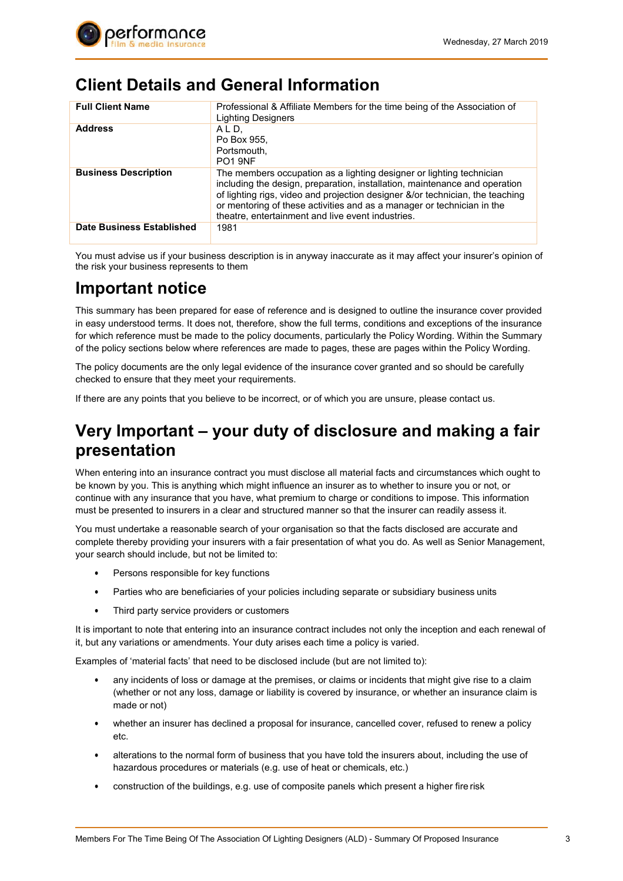

#### **Client Details and General Information**

| <b>Full Client Name</b>     | Professional & Affiliate Members for the time being of the Association of<br><b>Lighting Designers</b>                                                                                                                                                                                                                                                             |
|-----------------------------|--------------------------------------------------------------------------------------------------------------------------------------------------------------------------------------------------------------------------------------------------------------------------------------------------------------------------------------------------------------------|
| <b>Address</b>              | A L D.<br>Po Box 955.<br>Portsmouth.<br>PO <sub>1</sub> 9NF                                                                                                                                                                                                                                                                                                        |
| <b>Business Description</b> | The members occupation as a lighting designer or lighting technician<br>including the design, preparation, installation, maintenance and operation<br>of lighting rigs, video and projection designer &/or technician, the teaching<br>or mentoring of these activities and as a manager or technician in the<br>theatre, entertainment and live event industries. |
| Date Business Established   | 1981                                                                                                                                                                                                                                                                                                                                                               |

You must advise us if your business description is in anyway inaccurate as it may affect your insurer's opinion of the risk your business represents to them

#### **Important notice**

This summary has been prepared for ease of reference and is designed to outline the insurance cover provided in easy understood terms. It does not, therefore, show the full terms, conditions and exceptions of the insurance for which reference must be made to the policy documents, particularly the Policy Wording. Within the Summary of the policy sections below where references are made to pages, these are pages within the Policy Wording.

The policy documents are the only legal evidence of the insurance cover granted and so should be carefully checked to ensure that they meet your requirements.

If there are any points that you believe to be incorrect, or of which you are unsure, please contact us.

#### **Very Important – your duty of disclosure and making a fair presentation**

When entering into an insurance contract you must disclose all material facts and circumstances which ought to be known by you. This is anything which might influence an insurer as to whether to insure you or not, or continue with any insurance that you have, what premium to charge or conditions to impose. This information must be presented to insurers in a clear and structured manner so that the insurer can readily assess it.

You must undertake a reasonable search of your organisation so that the facts disclosed are accurate and complete thereby providing your insurers with a fair presentation of what you do. As well as Senior Management, your search should include, but not be limited to:

- Persons responsible for key functions
- Parties who are beneficiaries of your policies including separate or subsidiary business units
- Third party service providers or customers

It is important to note that entering into an insurance contract includes not only the inception and each renewal of it, but any variations or amendments. Your duty arises each time a policy is varied.

Examples of 'material facts' that need to be disclosed include (but are not limited to):

- any incidents of loss or damage at the premises, or claims or incidents that might give rise to a claim (whether or not any loss, damage or liability is covered by insurance, or whether an insurance claim is made or not)
- whether an insurer has declined a proposal for insurance, cancelled cover, refused to renew a policy etc.
- alterations to the normal form of business that you have told the insurers about, including the use of hazardous procedures or materials (e.g. use of heat or chemicals, etc.)
- construction of the buildings, e.g. use of composite panels which present a higher fire risk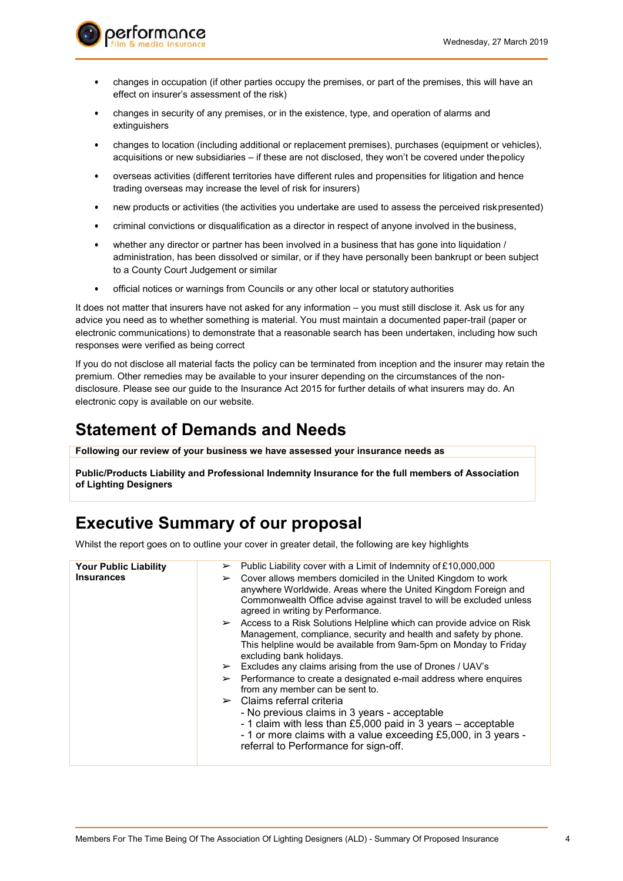

- changes in occupation (if other parties occupy the premises, or part of the premises, this will have an effect on insurer's assessment of the risk)
- changes in security of any premises, or in the existence, type, and operation of alarms and extinguishers
- changes to location (including additional or replacement premises), purchases (equipment or vehicles), acquisitions or new subsidiaries – if these are not disclosed, they won't be covered under thepolicy
- overseas activities (different territories have different rules and propensities for litigation and hence trading overseas may increase the level of risk for insurers)
- new products or activities (the activities you undertake are used to assess the perceived risk presented)
- criminal convictions or disqualification as a director in respect of anyone involved in the business,
- whether any director or partner has been involved in a business that has gone into liquidation / administration, has been dissolved or similar, or if they have personally been bankrupt or been subject to a County Court Judgement or similar
- official notices or warnings from Councils or any other local or statutory authorities

It does not matter that insurers have not asked for any information – you must still disclose it. Ask us for any advice you need as to whether something is material. You must maintain a documented paper-trail (paper or electronic communications) to demonstrate that a reasonable search has been undertaken, including how such responses were verified as being correct

If you do not disclose all material facts the policy can be terminated from inception and the insurer may retain the premium. Other remedies may be available to your insurer depending on the circumstances of the nondisclosure. Please see our guide to the Insurance Act 2015 for further details of what insurers may do. An electronic copy is available on our website.

#### **Statement of Demands and Needs**

**Following our review of your business we have assessed your insurance needs as**

**Public/Products Liability and Professional Indemnity Insurance for the full members of Association of Lighting Designers**

### **Executive Summary of our proposal**

Whilst the report goes on to outline your cover in greater detail, the following are key highlights

| <b>Your Public Liability</b><br><b>Insurances</b> | Public Liability cover with a Limit of Indemnity of £10,000,000<br>➤<br>$\triangleright$ Cover allows members domiciled in the United Kingdom to work<br>anywhere Worldwide. Areas where the United Kingdom Foreign and<br>Commonwealth Office advise against travel to will be excluded unless<br>agreed in writing by Performance.<br>$\triangleright$ Access to a Risk Solutions Helpline which can provide advice on Risk<br>Management, compliance, security and health and safety by phone.<br>This helpline would be available from 9am-5pm on Monday to Friday<br>excluding bank holidays.<br>$\triangleright$ Excludes any claims arising from the use of Drones / UAV's<br>$\triangleright$ Performance to create a designated e-mail address where enquires<br>from any member can be sent to.<br>$\triangleright$ Claims referral criteria<br>- No previous claims in 3 years - acceptable<br>- 1 claim with less than £5,000 paid in 3 years – acceptable<br>- 1 or more claims with a value exceeding £5,000, in 3 years -<br>referral to Performance for sign-off. |
|---------------------------------------------------|-----------------------------------------------------------------------------------------------------------------------------------------------------------------------------------------------------------------------------------------------------------------------------------------------------------------------------------------------------------------------------------------------------------------------------------------------------------------------------------------------------------------------------------------------------------------------------------------------------------------------------------------------------------------------------------------------------------------------------------------------------------------------------------------------------------------------------------------------------------------------------------------------------------------------------------------------------------------------------------------------------------------------------------------------------------------------------------|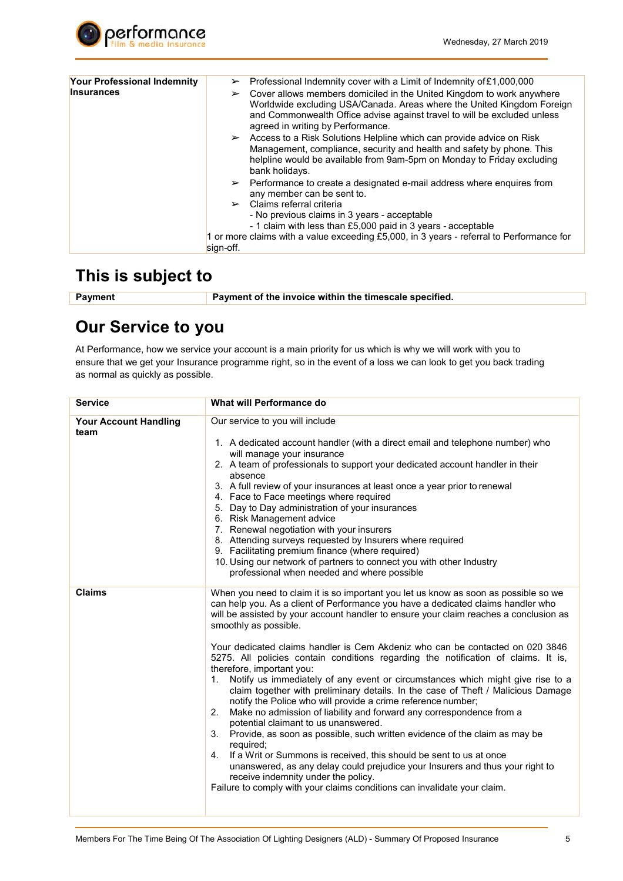

| Your Professional Indemnity | Professional Indemnity cover with a Limit of Indemnity of £1,000,000<br>$\blacktriangleright$                                                                                                                                                                                             |
|-----------------------------|-------------------------------------------------------------------------------------------------------------------------------------------------------------------------------------------------------------------------------------------------------------------------------------------|
| <b>Insurances</b>           | Cover allows members domiciled in the United Kingdom to work anywhere<br>$\blacktriangleright$<br>Worldwide excluding USA/Canada. Areas where the United Kingdom Foreign<br>and Commonwealth Office advise against travel to will be excluded unless<br>agreed in writing by Performance. |
|                             | $\triangleright$ Access to a Risk Solutions Helpline which can provide advice on Risk<br>Management, compliance, security and health and safety by phone. This<br>helpline would be available from 9am-5pm on Monday to Friday excluding<br>bank holidays.                                |
|                             | $\triangleright$ Performance to create a designated e-mail address where enguires from<br>any member can be sent to.                                                                                                                                                                      |
|                             | $\triangleright$ Claims referral criteria<br>- No previous claims in 3 years - acceptable<br>- 1 claim with less than £5,000 paid in 3 years - acceptable                                                                                                                                 |
|                             | 1 or more claims with a value exceeding £5,000, in 3 years - referral to Performance for                                                                                                                                                                                                  |
|                             | sign-off.                                                                                                                                                                                                                                                                                 |

#### **This is subject to**

**Payment Payment of the invoice within the timescale specified.** 

### **Our Service to you**

At Performance, how we service your account is a main priority for us which is why we will work with you to ensure that we get your Insurance programme right, so in the event of a loss we can look to get you back trading as normal as quickly as possible.

| <b>Service</b>                       | <b>What will Performance do</b>                                                                                                                                                                                                                                                                                                                                                                                                                                                                                                                                                                                                                                                                                                                                                                                                                                                                                                                                                                                                                                                                                                                                                                                                             |
|--------------------------------------|---------------------------------------------------------------------------------------------------------------------------------------------------------------------------------------------------------------------------------------------------------------------------------------------------------------------------------------------------------------------------------------------------------------------------------------------------------------------------------------------------------------------------------------------------------------------------------------------------------------------------------------------------------------------------------------------------------------------------------------------------------------------------------------------------------------------------------------------------------------------------------------------------------------------------------------------------------------------------------------------------------------------------------------------------------------------------------------------------------------------------------------------------------------------------------------------------------------------------------------------|
| <b>Your Account Handling</b><br>team | Our service to you will include<br>1. A dedicated account handler (with a direct email and telephone number) who<br>will manage your insurance<br>2. A team of professionals to support your dedicated account handler in their<br>absence<br>3. A full review of your insurances at least once a year prior to renewal<br>4. Face to Face meetings where required<br>5. Day to Day administration of your insurances<br>6. Risk Management advice<br>7. Renewal negotiation with your insurers<br>8. Attending surveys requested by Insurers where required<br>9. Facilitating premium finance (where required)<br>10. Using our network of partners to connect you with other Industry<br>professional when needed and where possible                                                                                                                                                                                                                                                                                                                                                                                                                                                                                                     |
| <b>Claims</b>                        | When you need to claim it is so important you let us know as soon as possible so we<br>can help you. As a client of Performance you have a dedicated claims handler who<br>will be assisted by your account handler to ensure your claim reaches a conclusion as<br>smoothly as possible.<br>Your dedicated claims handler is Cem Akdeniz who can be contacted on 020 3846<br>5275. All policies contain conditions regarding the notification of claims. It is,<br>therefore, important you:<br>Notify us immediately of any event or circumstances which might give rise to a<br>1.<br>claim together with preliminary details. In the case of Theft / Malicious Damage<br>notify the Police who will provide a crime reference number;<br>2. Make no admission of liability and forward any correspondence from a<br>potential claimant to us unanswered.<br>Provide, as soon as possible, such written evidence of the claim as may be<br>3.<br>required;<br>4. If a Writ or Summons is received, this should be sent to us at once<br>unanswered, as any delay could prejudice your Insurers and thus your right to<br>receive indemnity under the policy.<br>Failure to comply with your claims conditions can invalidate your claim. |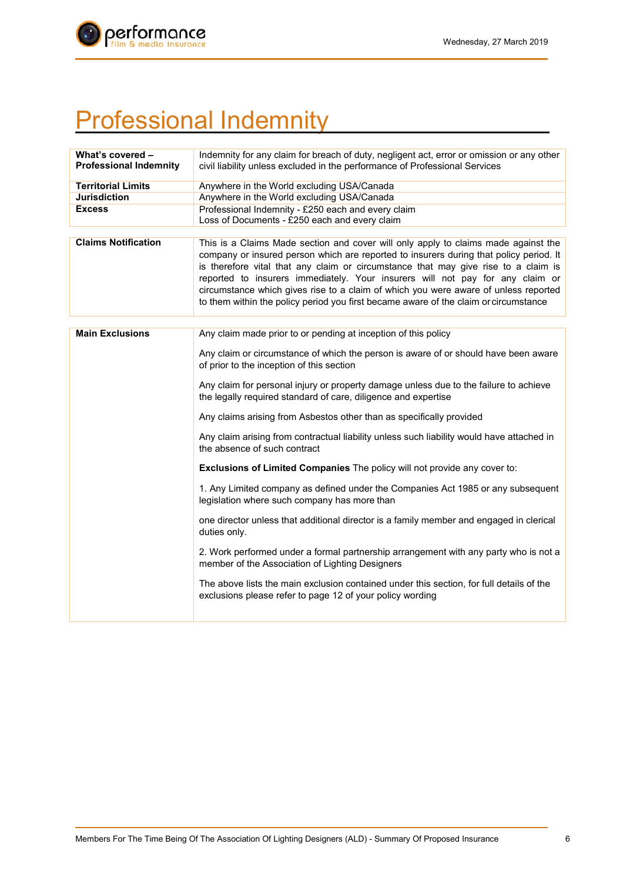

# Professional Indemnity

| What's covered -<br><b>Professional Indemnity</b> | Indemnity for any claim for breach of duty, negligent act, error or omission or any other<br>civil liability unless excluded in the performance of Professional Services                                                                                                                                                                                                                                                                                                                                                           |
|---------------------------------------------------|------------------------------------------------------------------------------------------------------------------------------------------------------------------------------------------------------------------------------------------------------------------------------------------------------------------------------------------------------------------------------------------------------------------------------------------------------------------------------------------------------------------------------------|
| <b>Territorial Limits</b>                         | Anywhere in the World excluding USA/Canada                                                                                                                                                                                                                                                                                                                                                                                                                                                                                         |
| <b>Jurisdiction</b>                               | Anywhere in the World excluding USA/Canada                                                                                                                                                                                                                                                                                                                                                                                                                                                                                         |
| <b>Excess</b>                                     | Professional Indemnity - £250 each and every claim<br>Loss of Documents - £250 each and every claim                                                                                                                                                                                                                                                                                                                                                                                                                                |
| <b>Claims Notification</b>                        | This is a Claims Made section and cover will only apply to claims made against the<br>company or insured person which are reported to insurers during that policy period. It<br>is therefore vital that any claim or circumstance that may give rise to a claim is<br>reported to insurers immediately. Your insurers will not pay for any claim or<br>circumstance which gives rise to a claim of which you were aware of unless reported<br>to them within the policy period you first became aware of the claim or circumstance |
| <b>Main Exclusions</b>                            | Any claim made prior to or pending at inception of this policy                                                                                                                                                                                                                                                                                                                                                                                                                                                                     |
|                                                   | Any claim or circumstance of which the person is aware of or should have been aware<br>of prior to the inception of this section                                                                                                                                                                                                                                                                                                                                                                                                   |
|                                                   | Any claim for personal injury or property damage unless due to the failure to achieve<br>the legally required standard of care, diligence and expertise                                                                                                                                                                                                                                                                                                                                                                            |
|                                                   | Any claims arising from Asbestos other than as specifically provided                                                                                                                                                                                                                                                                                                                                                                                                                                                               |
|                                                   | Any claim arising from contractual liability unless such liability would have attached in<br>the absence of such contract                                                                                                                                                                                                                                                                                                                                                                                                          |
|                                                   | Exclusions of Limited Companies The policy will not provide any cover to:                                                                                                                                                                                                                                                                                                                                                                                                                                                          |
|                                                   | 1. Any Limited company as defined under the Companies Act 1985 or any subsequent<br>legislation where such company has more than                                                                                                                                                                                                                                                                                                                                                                                                   |
|                                                   | one director unless that additional director is a family member and engaged in clerical<br>duties only.                                                                                                                                                                                                                                                                                                                                                                                                                            |
|                                                   | 2. Work performed under a formal partnership arrangement with any party who is not a<br>member of the Association of Lighting Designers                                                                                                                                                                                                                                                                                                                                                                                            |
|                                                   | The above lists the main exclusion contained under this section, for full details of the<br>exclusions please refer to page 12 of your policy wording                                                                                                                                                                                                                                                                                                                                                                              |
|                                                   |                                                                                                                                                                                                                                                                                                                                                                                                                                                                                                                                    |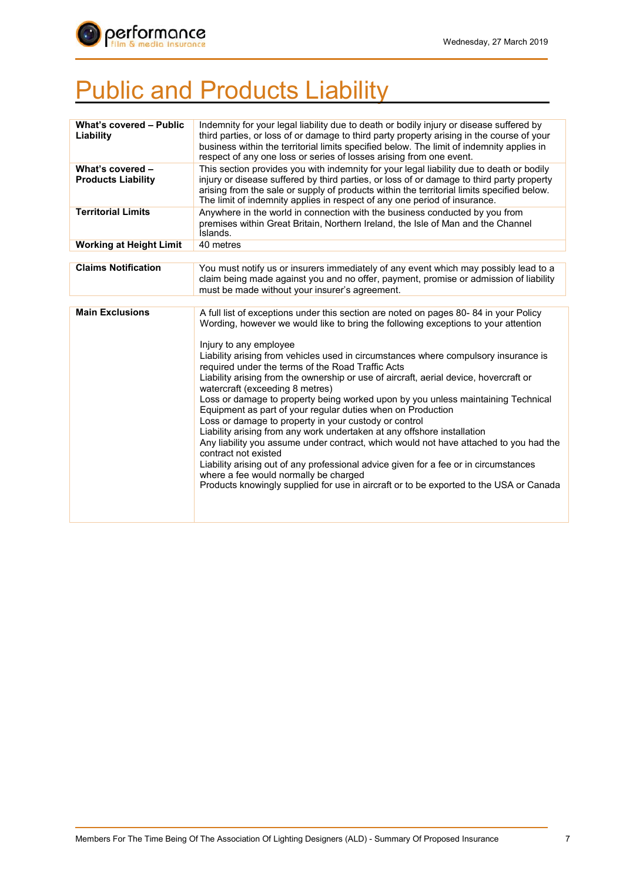

# **Public and Products Liability**

| What's covered - Public<br>Liability          | Indemnity for your legal liability due to death or bodily injury or disease suffered by<br>third parties, or loss of or damage to third party property arising in the course of your<br>business within the territorial limits specified below. The limit of indemnity applies in<br>respect of any one loss or series of losses arising from one event.         |
|-----------------------------------------------|------------------------------------------------------------------------------------------------------------------------------------------------------------------------------------------------------------------------------------------------------------------------------------------------------------------------------------------------------------------|
| What's covered -<br><b>Products Liability</b> | This section provides you with indemnity for your legal liability due to death or bodily<br>injury or disease suffered by third parties, or loss of or damage to third party property<br>arising from the sale or supply of products within the territorial limits specified below.<br>The limit of indemnity applies in respect of any one period of insurance. |
| <b>Territorial Limits</b>                     | Anywhere in the world in connection with the business conducted by you from<br>premises within Great Britain, Northern Ireland, the Isle of Man and the Channel<br>Islands.                                                                                                                                                                                      |
| <b>Working at Height Limit</b>                | 40 metres                                                                                                                                                                                                                                                                                                                                                        |
| <b>Claims Notification</b>                    |                                                                                                                                                                                                                                                                                                                                                                  |
|                                               | You must notify us or insurers immediately of any event which may possibly lead to a<br>claim being made against you and no offer, payment, promise or admission of liability<br>must be made without your insurer's agreement.                                                                                                                                  |
|                                               |                                                                                                                                                                                                                                                                                                                                                                  |
| <b>Main Exclusions</b>                        | A full list of exceptions under this section are noted on pages 80-84 in your Policy<br>Wording, however we would like to bring the following exceptions to your attention                                                                                                                                                                                       |
|                                               | Injury to any employee                                                                                                                                                                                                                                                                                                                                           |
|                                               | Liability arising from vehicles used in circumstances where compulsory insurance is<br>required under the terms of the Road Traffic Acts                                                                                                                                                                                                                         |
|                                               | Liability arising from the ownership or use of aircraft, aerial device, hovercraft or<br>watercraft (exceeding 8 metres)                                                                                                                                                                                                                                         |
|                                               | Loss or damage to property being worked upon by you unless maintaining Technical<br>Equipment as part of your regular duties when on Production<br>Loss or damage to property in your custody or control                                                                                                                                                         |
|                                               | Liability arising from any work undertaken at any offshore installation                                                                                                                                                                                                                                                                                          |
|                                               | Any liability you assume under contract, which would not have attached to you had the<br>contract not existed                                                                                                                                                                                                                                                    |
|                                               | Liability arising out of any professional advice given for a fee or in circumstances<br>where a fee would normally be charged                                                                                                                                                                                                                                    |
|                                               | Products knowingly supplied for use in aircraft or to be exported to the USA or Canada                                                                                                                                                                                                                                                                           |
|                                               |                                                                                                                                                                                                                                                                                                                                                                  |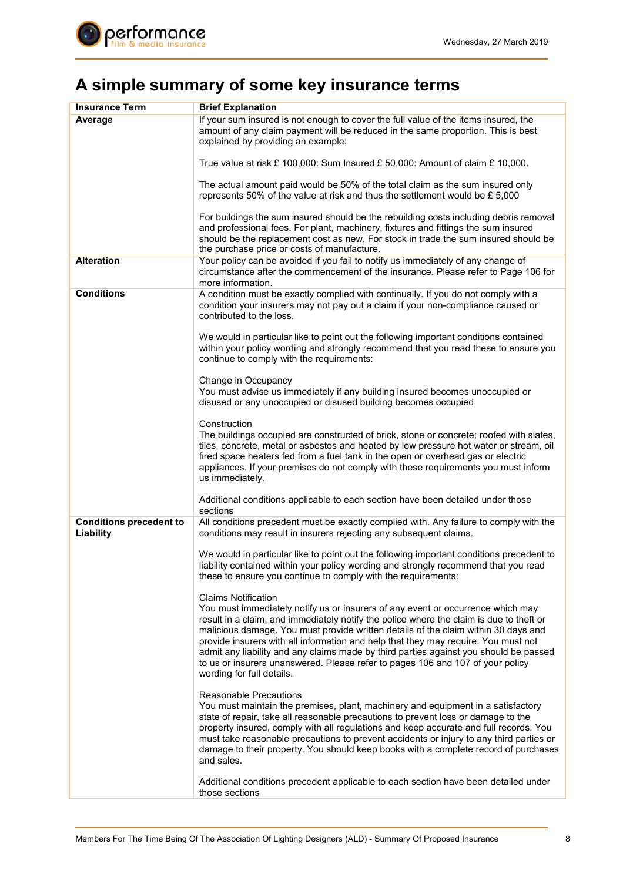

## **A simple summary of some key insurance terms**

| <b>Insurance Term</b>                       | <b>Brief Explanation</b>                                                                                                                                                                                                                                                                                                                                                                                                                                                                                                                                                                     |
|---------------------------------------------|----------------------------------------------------------------------------------------------------------------------------------------------------------------------------------------------------------------------------------------------------------------------------------------------------------------------------------------------------------------------------------------------------------------------------------------------------------------------------------------------------------------------------------------------------------------------------------------------|
| Average                                     | If your sum insured is not enough to cover the full value of the items insured, the<br>amount of any claim payment will be reduced in the same proportion. This is best<br>explained by providing an example:                                                                                                                                                                                                                                                                                                                                                                                |
|                                             | True value at risk £ 100,000: Sum Insured £ 50,000: Amount of claim £ 10,000.                                                                                                                                                                                                                                                                                                                                                                                                                                                                                                                |
|                                             | The actual amount paid would be 50% of the total claim as the sum insured only<br>represents 50% of the value at risk and thus the settlement would be £ 5,000                                                                                                                                                                                                                                                                                                                                                                                                                               |
|                                             | For buildings the sum insured should be the rebuilding costs including debris removal<br>and professional fees. For plant, machinery, fixtures and fittings the sum insured<br>should be the replacement cost as new. For stock in trade the sum insured should be<br>the purchase price or costs of manufacture.                                                                                                                                                                                                                                                                            |
| <b>Alteration</b>                           | Your policy can be avoided if you fail to notify us immediately of any change of<br>circumstance after the commencement of the insurance. Please refer to Page 106 for<br>more information.                                                                                                                                                                                                                                                                                                                                                                                                  |
| <b>Conditions</b>                           | A condition must be exactly complied with continually. If you do not comply with a<br>condition your insurers may not pay out a claim if your non-compliance caused or<br>contributed to the loss.                                                                                                                                                                                                                                                                                                                                                                                           |
|                                             | We would in particular like to point out the following important conditions contained<br>within your policy wording and strongly recommend that you read these to ensure you<br>continue to comply with the requirements:                                                                                                                                                                                                                                                                                                                                                                    |
|                                             | Change in Occupancy<br>You must advise us immediately if any building insured becomes unoccupied or<br>disused or any unoccupied or disused building becomes occupied                                                                                                                                                                                                                                                                                                                                                                                                                        |
|                                             | Construction<br>The buildings occupied are constructed of brick, stone or concrete; roofed with slates,<br>tiles, concrete, metal or asbestos and heated by low pressure hot water or stream, oil<br>fired space heaters fed from a fuel tank in the open or overhead gas or electric<br>appliances. If your premises do not comply with these requirements you must inform<br>us immediately.                                                                                                                                                                                               |
|                                             | Additional conditions applicable to each section have been detailed under those<br>sections                                                                                                                                                                                                                                                                                                                                                                                                                                                                                                  |
| <b>Conditions precedent to</b><br>Liability | All conditions precedent must be exactly complied with. Any failure to comply with the<br>conditions may result in insurers rejecting any subsequent claims.                                                                                                                                                                                                                                                                                                                                                                                                                                 |
|                                             | We would in particular like to point out the following important conditions precedent to<br>liability contained within your policy wording and strongly recommend that you read<br>these to ensure you continue to comply with the requirements:                                                                                                                                                                                                                                                                                                                                             |
|                                             | <b>Claims Notification</b><br>You must immediately notify us or insurers of any event or occurrence which may<br>result in a claim, and immediately notify the police where the claim is due to theft or<br>malicious damage. You must provide written details of the claim within 30 days and<br>provide insurers with all information and help that they may require. You must not<br>admit any liability and any claims made by third parties against you should be passed<br>to us or insurers unanswered. Please refer to pages 106 and 107 of your policy<br>wording for full details. |
|                                             | Reasonable Precautions<br>You must maintain the premises, plant, machinery and equipment in a satisfactory<br>state of repair, take all reasonable precautions to prevent loss or damage to the<br>property insured, comply with all regulations and keep accurate and full records. You<br>must take reasonable precautions to prevent accidents or injury to any third parties or<br>damage to their property. You should keep books with a complete record of purchases<br>and sales.                                                                                                     |
|                                             | Additional conditions precedent applicable to each section have been detailed under<br>those sections                                                                                                                                                                                                                                                                                                                                                                                                                                                                                        |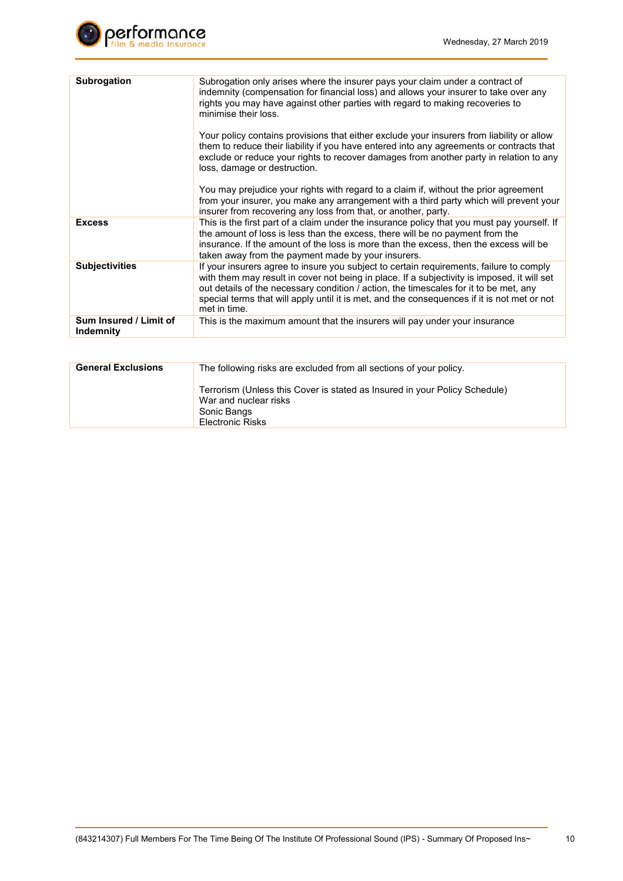

| <b>Subrogation</b>                  | Subrogation only arises where the insurer pays your claim under a contract of<br>indemnity (compensation for financial loss) and allows your insurer to take over any<br>rights you may have against other parties with regard to making recoveries to<br>minimise their loss.                                                                                                                 |
|-------------------------------------|------------------------------------------------------------------------------------------------------------------------------------------------------------------------------------------------------------------------------------------------------------------------------------------------------------------------------------------------------------------------------------------------|
|                                     | Your policy contains provisions that either exclude your insurers from liability or allow<br>them to reduce their liability if you have entered into any agreements or contracts that<br>exclude or reduce your rights to recover damages from another party in relation to any<br>loss, damage or destruction.                                                                                |
|                                     | You may prejudice your rights with regard to a claim if, without the prior agreement<br>from your insurer, you make any arrangement with a third party which will prevent your<br>insurer from recovering any loss from that, or another, party.                                                                                                                                               |
| <b>Excess</b>                       | This is the first part of a claim under the insurance policy that you must pay yourself. If<br>the amount of loss is less than the excess, there will be no payment from the<br>insurance. If the amount of the loss is more than the excess, then the excess will be<br>taken away from the payment made by your insurers.                                                                    |
| <b>Subjectivities</b>               | If your insurers agree to insure you subject to certain requirements, failure to comply<br>with them may result in cover not being in place. If a subjectivity is imposed, it will set<br>out details of the necessary condition / action, the timescales for it to be met, any<br>special terms that will apply until it is met, and the consequences if it is not met or not<br>met in time. |
| Sum Insured / Limit of<br>Indemnity | This is the maximum amount that the insurers will pay under your insurance                                                                                                                                                                                                                                                                                                                     |
|                                     |                                                                                                                                                                                                                                                                                                                                                                                                |

| <b>General Exclusions</b> | The following risks are excluded from all sections of your policy.                                                                            |
|---------------------------|-----------------------------------------------------------------------------------------------------------------------------------------------|
|                           | Terrorism (Unless this Cover is stated as Insured in your Policy Schedule)<br>War and nuclear risks<br>Sonic Bangs<br><b>Electronic Risks</b> |